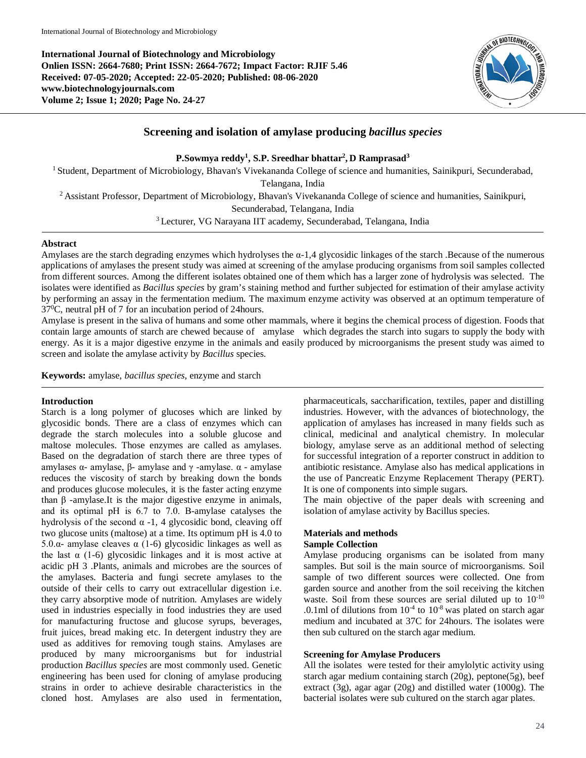**International Journal of Biotechnology and Microbiology Onlien ISSN: 2664-7680; Print ISSN: 2664-7672; Impact Factor: RJIF 5.46 Received: 07-05-2020; Accepted: 22-05-2020; Published: 08-06-2020 www.biotechnologyjournals.com Volume 2; Issue 1; 2020; Page No. 24-27**



# **Screening and isolation of amylase producing** *bacillus species*

**P.Sowmya reddy1 , S.P. Sreedhar bhattar2 , D Ramprasad3**

<sup>1</sup> Student, Department of Microbiology, Bhavan's Vivekananda College of science and humanities, Sainikpuri, Secunderabad,

Telangana, India

2 Assistant Professor, Department of Microbiology, Bhavan's Vivekananda College of science and humanities, Sainikpuri,

Secunderabad, Telangana, India

3 Lecturer, VG Narayana IIT academy, Secunderabad, Telangana, India

#### **Abstract**

Amylases are the starch degrading enzymes which hydrolyses the α-1,4 glycosidic linkages of the starch .Because of the numerous applications of amylases the present study was aimed at screening of the amylase producing organisms from soil samples collected from different sources. Among the different isolates obtained one of them which has a larger zone of hydrolysis was selected. The isolates were identified as *Bacillus species* by gram's staining method and further subjected for estimation of their amylase activity by performing an assay in the fermentation medium. The maximum enzyme activity was observed at an optimum temperature of 370 C, neutral pH of 7 for an incubation period of 24hours.

Amylase is present in the saliva of humans and some other mammals, where it begins the chemical process of digestion. Foods that contain large amounts of starch are chewed because of amylase which degrades the starch into sugars to supply the body with energy. As it is a major digestive enzyme in the animals and easily produced by microorganisms the present study was aimed to screen and isolate the amylase activity by *Bacillus* species.

**Keywords:** amylase, *bacillus species*, enzyme and starch

## **Introduction**

Starch is a long polymer of glucoses which are linked by glycosidic bonds. There are a class of enzymes which can degrade the starch molecules into a soluble glucose and maltose molecules. Those enzymes are called as amylases. Based on the degradation of starch there are three types of amylases  $\alpha$ - amylase, β- amylase and γ -amylase.  $\alpha$  - amylase reduces the viscosity of starch by breaking down the bonds and produces glucose molecules, it is the faster acting enzyme than  $β$  -amylase.It is the major digestive enzyme in animals, and its optimal pH is 6.7 to 7.0. Β-amylase catalyses the hydrolysis of the second  $\alpha$  -1, 4 glycosidic bond, cleaving off two glucose units (maltose) at a time. Its optimum pH is 4.0 to 5.0.α- amylase cleaves α (1-6) glycosidic linkages as well as the last  $\alpha$  (1-6) glycosidic linkages and it is most active at acidic pH 3 .Plants, animals and microbes are the sources of the amylases. Bacteria and fungi secrete amylases to the outside of their cells to carry out extracellular digestion i.e. they carry absorptive mode of nutrition. Amylases are widely used in industries especially in food industries they are used for manufacturing fructose and glucose syrups, beverages, fruit juices, bread making etc. In detergent industry they are used as additives for removing tough stains. Amylases are produced by many microorganisms but for industrial production *Bacillus species* are most commonly used. Genetic engineering has been used for cloning of amylase producing strains in order to achieve desirable characteristics in the cloned host. Amylases are also used in fermentation,

pharmaceuticals, saccharification, textiles, paper and distilling industries. However, with the advances of biotechnology, the application of amylases has increased in many fields such as clinical, medicinal and analytical chemistry. In molecular biology, amylase serve as an additional method of selecting for successful integration of a reporter construct in addition to antibiotic resistance. Amylase also has medical applications in the use of Pancreatic Enzyme Replacement Therapy (PERT). It is one of components into simple sugars.

The main objective of the paper deals with screening and isolation of amylase activity by Bacillus species.

# **Materials and methods**

## **Sample Collection**

Amylase producing organisms can be isolated from many samples. But soil is the main source of microorganisms. Soil sample of two different sources were collected. One from garden source and another from the soil receiving the kitchen waste. Soil from these sources are serial diluted up to 10-10 .0.1ml of dilutions from  $10^{-4}$  to  $10^{-8}$  was plated on starch agar medium and incubated at 37C for 24hours. The isolates were then sub cultured on the starch agar medium.

## **Screening for Amylase Producers**

All the isolates were tested for their amylolytic activity using starch agar medium containing starch (20g), peptone(5g), beef extract (3g), agar agar (20g) and distilled water (1000g). The bacterial isolates were sub cultured on the starch agar plates.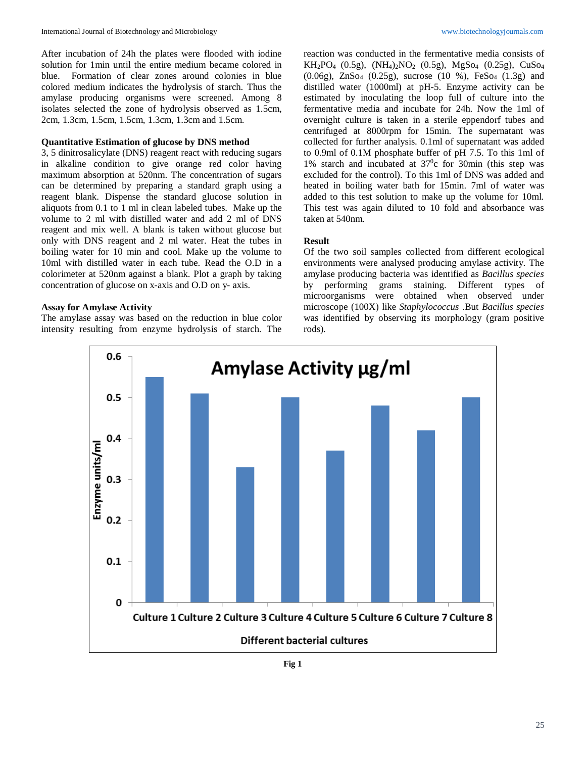After incubation of 24h the plates were flooded with iodine solution for 1min until the entire medium became colored in blue. Formation of clear zones around colonies in blue colored medium indicates the hydrolysis of starch. Thus the amylase producing organisms were screened. Among 8 isolates selected the zone of hydrolysis observed as 1.5cm, 2cm, 1.3cm, 1.5cm, 1.5cm, 1.3cm, 1.3cm and 1.5cm.

## **Quantitative Estimation of glucose by DNS method**

3, 5 dinitrosalicylate (DNS) reagent react with reducing sugars in alkaline condition to give orange red color having maximum absorption at 520nm. The concentration of sugars can be determined by preparing a standard graph using a reagent blank. Dispense the standard glucose solution in aliquots from 0.1 to 1 ml in clean labeled tubes. Make up the volume to 2 ml with distilled water and add 2 ml of DNS reagent and mix well. A blank is taken without glucose but only with DNS reagent and 2 ml water. Heat the tubes in boiling water for 10 min and cool. Make up the volume to 10ml with distilled water in each tube. Read the O.D in a colorimeter at 520nm against a blank. Plot a graph by taking concentration of glucose on x-axis and O.D on y- axis.

#### **Assay for Amylase Activity**

The amylase assay was based on the reduction in blue color intensity resulting from enzyme hydrolysis of starch. The reaction was conducted in the fermentative media consists of  $KH_2PO_4$  (0.5g),  $(NH_4)_2NO_2$  (0.5g),  $MgSo_4$  (0.25g),  $CuSo_4$ (0.06g), ZnSo4 (0.25g), sucrose (10 %), FeSo4 (1.3g) and distilled water (1000ml) at pH-5. Enzyme activity can be estimated by inoculating the loop full of culture into the fermentative media and incubate for 24h. Now the 1ml of overnight culture is taken in a sterile eppendorf tubes and centrifuged at 8000rpm for 15min. The supernatant was collected for further analysis. 0.1ml of supernatant was added to 0.9ml of 0.1M phosphate buffer of pH 7.5. To this 1ml of 1% starch and incubated at  $37^\circ$ c for 30min (this step was excluded for the control). To this 1ml of DNS was added and heated in boiling water bath for 15min. 7ml of water was added to this test solution to make up the volume for 10ml. This test was again diluted to 10 fold and absorbance was taken at 540nm.

#### **Result**

Of the two soil samples collected from different ecological environments were analysed producing amylase activity. The amylase producing bacteria was identified as *Bacillus species* by performing grams staining. Different types of microorganisms were obtained when observed under microscope (100X) like *Staphylococcus* .But *Bacillus species* was identified by observing its morphology (gram positive rods).



**Fig 1**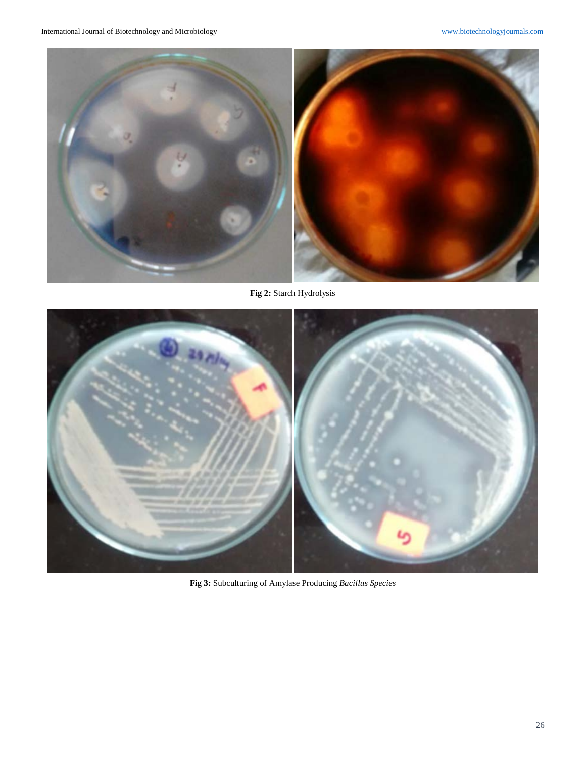

**Fig 2:** Starch Hydrolysis



**Fig 3:** Subculturing of Amylase Producing *Bacillus Species*